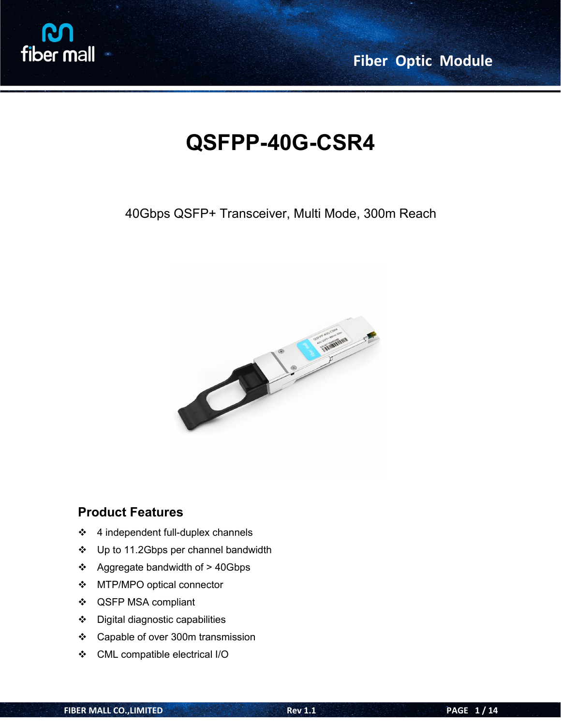

# **QSFPP-40G-CSR4**

### 40Gbps QSFP+ Transceiver, Multi Mode, 300m Reach



#### **Product Features**

- $\div$  4 independent full-duplex channels
- ❖ Up to 11.2Gbps per channel bandwidth
- $\div$  Aggregate bandwidth of > 40Gbps
- MTP/MPO optical connector
- QSFP MSA compliant
- Digital diagnostic capabilities
- ❖ Capable of over 300m transmission
- CML compatible electrical I/O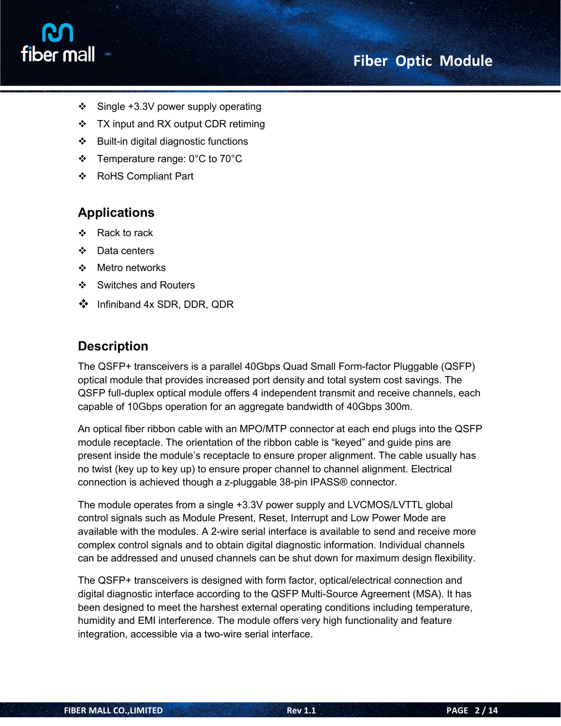

- $\div$  Single +3.3V power supply operating
- $\div$  TX input and RX output CDR retiming
- $\div$  Built-in digital diagnostic functions
- Temperature range: 0°C to 70°C
- ❖ RoHS Compliant Part

### **Applications**

- ❖ Rack to rack
- ❖ Data centers
- ❖ Metro networks
- ❖ Switches and Routers
- Infiniband 4x SDR, DDR, QDR

#### **Description**

The QSFP+ transceivers is a parallel 40Gbps Quad Small Form-factor Pluggable (QSFP) optical module that provides increased port density and total system cost savings. The QSFP full-duplex optical module offers 4 independent transmit and receive channels, each capable of 10Gbps operation for an aggregate bandwidth of 40Gbps 300m.

An optical fiber ribbon cable with an MPO/MTP connector at each end plugs into the QSFP module receptacle. The orientation of the ribbon cable is "keyed" and guide pins are present inside the module's receptacle to ensure proper alignment. The cable usually has no twist (key up to key up) to ensure proper channel to channel alignment. Electrical connection is achieved though a z-pluggable 38-pin IPASS® connector.

The module operates from a single +3.3V power supply and LVCMOS/LVTTL global control signals such as Module Present, Reset, Interrupt and Low Power Mode are available with the modules. A 2-wire serial interface is available to send and receive more complex control signals and to obtain digital diagnostic information. Individual channels can be addressed and unused channels can be shut down for maximum design flexibility.

The QSFP+ transceivers is designed with form factor, optical/electrical connection and digital diagnostic interface according to the QSFP Multi-Source Agreement (MSA). It has been designed to meet the harshest external operating conditions including temperature, humidity and EMI interference. The module offers very high functionality and feature integration, accessible via a two-wire serial interface.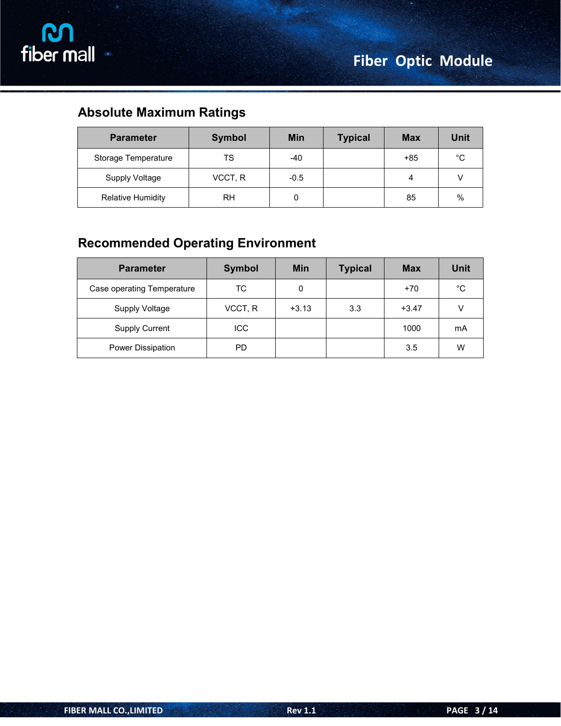### **Absolute Maximum Ratings**

| <b>Parameter</b>         | <b>Symbol</b> | <b>Min</b> | <b>Typical</b> | <b>Max</b> | Unit        |
|--------------------------|---------------|------------|----------------|------------|-------------|
| Storage Temperature      | TS            | -40        |                | $+85$      | $^{\circ}C$ |
| <b>Supply Voltage</b>    | VCCT, R       | $-0.5$     |                |            |             |
| <b>Relative Humidity</b> | RH            | u          |                | 85         | $\%$        |

### **Recommended Operating Environment**

| <b>Parameter</b>           | <b>Symbol</b> | <b>Min</b> | <b>Typical</b> | <b>Max</b> | <b>Unit</b> |
|----------------------------|---------------|------------|----------------|------------|-------------|
| Case operating Temperature | <b>TC</b>     | 0          |                | $+70$      | °C          |
| <b>Supply Voltage</b>      | VCCT, R       | $+3.13$    | 3.3            | $+3.47$    | v           |
| <b>Supply Current</b>      | ICC           |            |                | 1000       | mA          |
| Power Dissipation          | <b>PD</b>     |            |                | 3.5        | W           |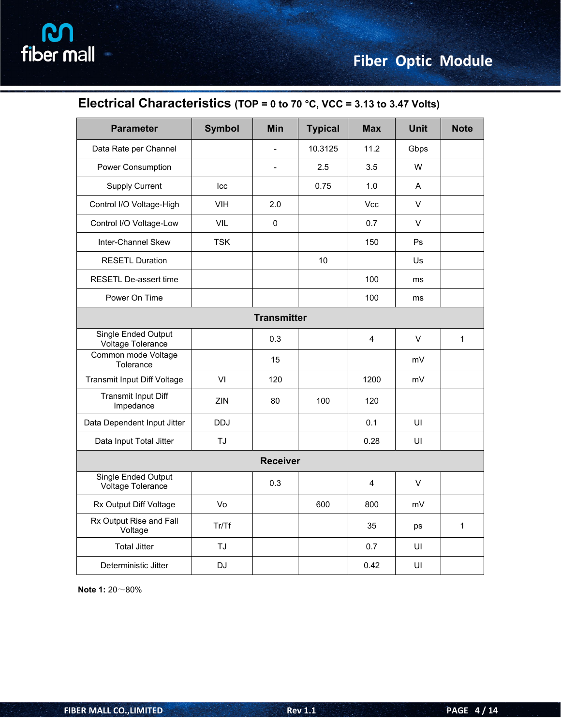### **Electrical Characteristics (TOP = 0 to 70 °C, VCC = 3.13 to 3.47 Volts)**

| <b>Parameter</b>                         | <b>Symbol</b> | <b>Min</b>      | <b>Typical</b> | <b>Max</b>     | <b>Unit</b>  | <b>Note</b>  |
|------------------------------------------|---------------|-----------------|----------------|----------------|--------------|--------------|
| Data Rate per Channel                    |               | $\blacksquare$  | 10.3125        | 11.2           | Gbps         |              |
|                                          |               |                 |                |                |              |              |
| Power Consumption                        |               | $\blacksquare$  | 2.5            | 3.5            | W            |              |
| <b>Supply Current</b>                    | Icc           |                 | 0.75           | 1.0            | $\mathsf{A}$ |              |
| Control I/O Voltage-High                 | VIH           | 2.0             |                | Vcc            | $\vee$       |              |
| Control I/O Voltage-Low                  | VIL           | $\pmb{0}$       |                | 0.7            | $\vee$       |              |
| Inter-Channel Skew                       | <b>TSK</b>    |                 |                | 150            | Ps           |              |
| <b>RESETL Duration</b>                   |               |                 | 10             |                | Us           |              |
| RESETL De-assert time                    |               |                 |                | 100            | ms           |              |
| Power On Time                            |               |                 |                | 100            | ms           |              |
| <b>Transmitter</b>                       |               |                 |                |                |              |              |
| Single Ended Output<br>Voltage Tolerance |               | 0.3             |                | $\overline{4}$ | $\vee$       | $\mathbf{1}$ |
| Common mode Voltage<br>Tolerance         |               | 15              |                |                | mV           |              |
| Transmit Input Diff Voltage              | VI            | 120             |                | 1200           | mV           |              |
| <b>Transmit Input Diff</b><br>Impedance  | ZIN           | 80              | 100            | 120            |              |              |
| Data Dependent Input Jitter              | <b>DDJ</b>    |                 |                | 0.1            | UI           |              |
| Data Input Total Jitter                  | TJ            |                 |                | 0.28           | UI           |              |
|                                          |               | <b>Receiver</b> |                |                |              |              |
| Single Ended Output<br>Voltage Tolerance |               | 0.3             |                | $\overline{4}$ | $\vee$       |              |
| Rx Output Diff Voltage                   | Vo            |                 | 600            | 800            | mV           |              |
| Rx Output Rise and Fall<br>Voltage       | Tr/Tf         |                 |                | 35             | ps           | $\mathbf{1}$ |
| <b>Total Jitter</b>                      | TJ            |                 |                | 0.7            | UI           |              |
| Deterministic Jitter                     | <b>DJ</b>     |                 |                | 0.42           | UI           |              |

**Note 1:** 20~80%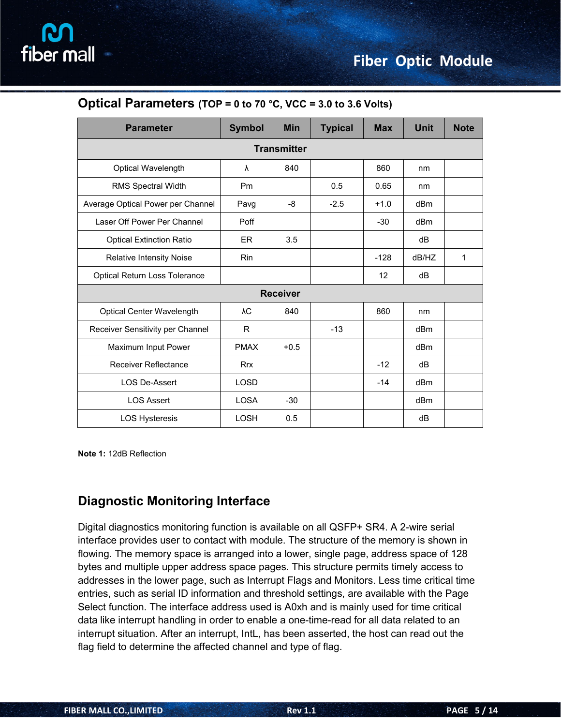| <b>Parameter</b>                  | <b>Symbol</b> | <b>Min</b>      | <b>Typical</b> | <b>Max</b> | <b>Unit</b>     | <b>Note</b> |  |
|-----------------------------------|---------------|-----------------|----------------|------------|-----------------|-------------|--|
| <b>Transmitter</b>                |               |                 |                |            |                 |             |  |
| Optical Wavelength                | $\lambda$     | 840             |                | 860        | nm              |             |  |
| RMS Spectral Width                | Pm            |                 | 0.5            | 0.65       | nm              |             |  |
| Average Optical Power per Channel | Pavg          | -8              | $-2.5$         | $+1.0$     | dB <sub>m</sub> |             |  |
| Laser Off Power Per Channel       | Poff          |                 |                | $-30$      | dB <sub>m</sub> |             |  |
| <b>Optical Extinction Ratio</b>   | ER            | 3.5             |                |            | dB              |             |  |
| <b>Relative Intensity Noise</b>   | Rin           |                 |                | $-128$     | dB/HZ           | 1           |  |
| Optical Return Loss Tolerance     |               |                 |                | 12         | dB              |             |  |
|                                   |               | <b>Receiver</b> |                |            |                 |             |  |
| <b>Optical Center Wavelength</b>  | λC            | 840             |                | 860        | nm              |             |  |
| Receiver Sensitivity per Channel  | R.            |                 | $-13$          |            | dB <sub>m</sub> |             |  |
| Maximum Input Power               | <b>PMAX</b>   | $+0.5$          |                |            | dBm             |             |  |
| Receiver Reflectance              | <b>Rrx</b>    |                 |                | $-12$      | dB              |             |  |
| <b>LOS De-Assert</b>              | <b>LOSD</b>   |                 |                | $-14$      | dB <sub>m</sub> |             |  |
| <b>LOS Assert</b>                 | <b>LOSA</b>   | $-30$           |                |            | dB <sub>m</sub> |             |  |
| <b>LOS Hysteresis</b>             | <b>LOSH</b>   | 0.5             |                |            | dB              |             |  |

#### **Optical Parameters (TOP = 0 to 70 °C, VCC = 3.0 to 3.6 Volts)**

**Note 1:** 12dB Reflection

#### **Diagnostic Monitoring Interface**

Digital diagnostics monitoring function is available on all  $QSFP+ SR4$ . A 2-wire serial interface provides user to contact with module. The structure of the memory is shown in flowing. The memory space is arranged into a lower, single page, address space of 128 bytes and multiple upper address space pages. This structure permits timely access to addresses in the lower page, such as Interrupt Flags and Monitors. Less time critical time entries, such as serial ID information and threshold settings, are available with the Page Select function. The interface address used is A0xh and is mainly used for time critical data like interrupt handling in order to enable a one-time-read for all data related to an interrupt situation. After an interrupt, IntL, has been asserted, the host can read out the flag field to determine the affected channel and type of flag.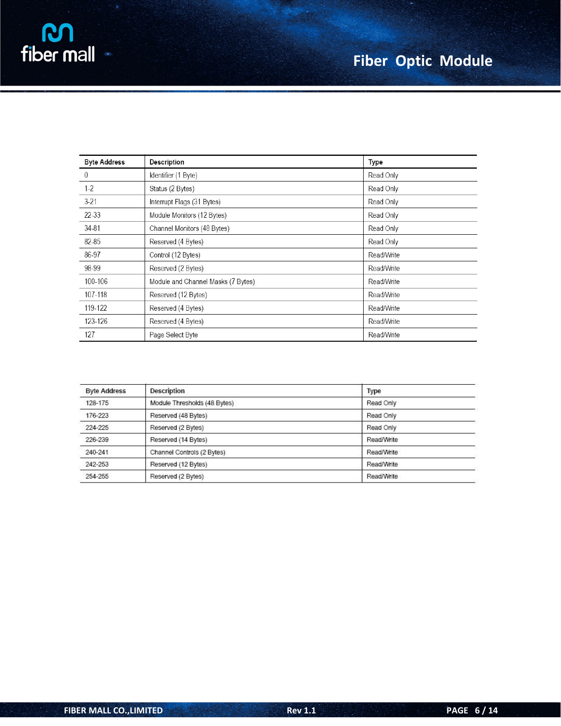| <b>Byte Address</b> | Description                        | Type       |
|---------------------|------------------------------------|------------|
| 0                   | Identifier (1 Byte)                | Read Only  |
| $1-2$               | Status (2 Bytes)                   | Read Only  |
| $3-21$              | Interrupt Flags (31 Bytes)         | Read Only  |
| $22 - 33$           | Module Monitors (12 Bytes)         | Read Only  |
| 34-81               | Channel Monitors (48 Bytes)        | Read Only  |
| 82-85               | Reserved (4 Bytes)                 | Read Only  |
| 86-97               | Control (12 Bytes)                 | Read/Write |
| 98-99               | Reserved (2 Bytes)                 | Read/Write |
| 100-106             | Module and Channel Masks (7 Bytes) | Read/Write |
| 107-118             | Reserved (12 Bytes)                | Read/Write |
| 119-122             | Reserved (4 Bytes)                 | Read/Write |
| 123-126             | Reserved (4 Bytes)                 | Read/Write |
| 127                 | Page Select Byte                   | Read/Write |

| <b>Byte Address</b> | <b>Description</b>           | Type       |
|---------------------|------------------------------|------------|
| 128-175             | Module Thresholds (48 Bytes) | Read Only  |
| 176-223             | Reserved (48 Bytes)          | Read Only  |
| 224-225             | Reserved (2 Bytes)           | Read Only  |
| 226-239             | Reserved (14 Bytes)          | Read/Write |
| 240-241             | Channel Controls (2 Bytes)   | Read/Write |
| 242-253             | Reserved (12 Bytes)          | Read/Write |
| 254-255             | Reserved (2 Bytes)           | Read/Write |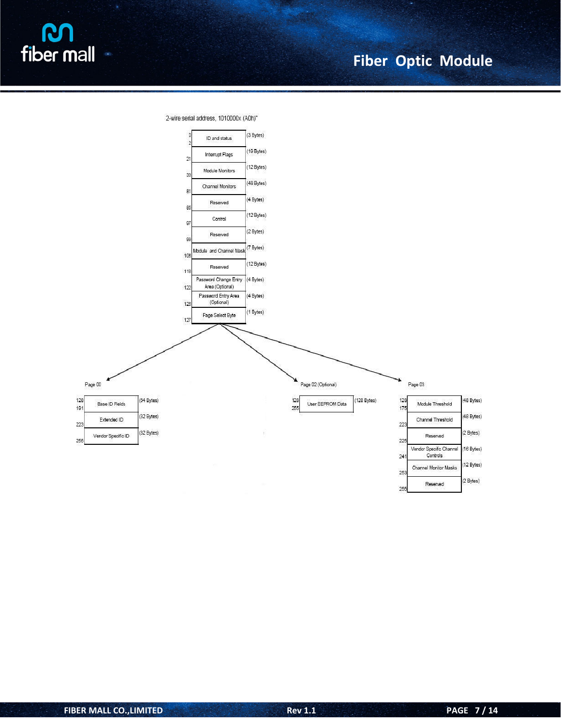

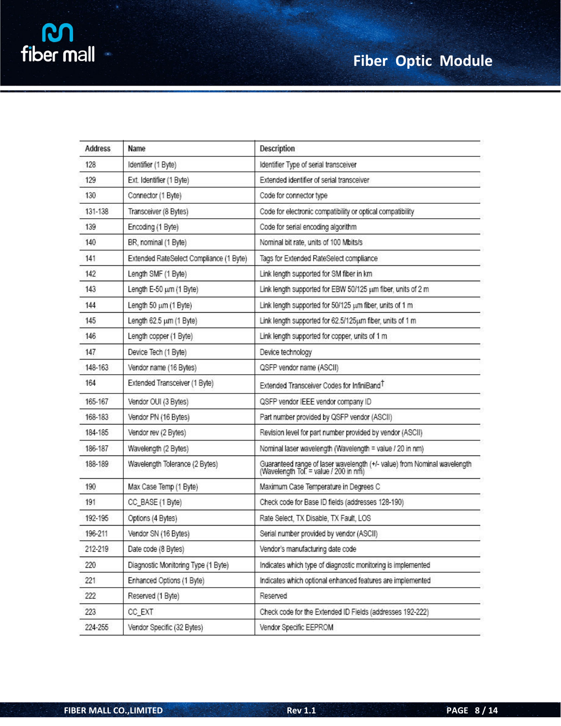| <b>Address</b> | Name                                    | Description                                                                                                       |
|----------------|-----------------------------------------|-------------------------------------------------------------------------------------------------------------------|
| 128            | Identifier (1 Byte)                     | Identifier Type of serial transceiver                                                                             |
| 129            | Ext. Identifier (1 Byte)                | Extended identifier of serial transceiver                                                                         |
| 130            | Connector (1 Byte)                      | Code for connector type                                                                                           |
| 131-138        | Transceiver (8 Bytes)                   | Code for electronic compatibility or optical compatibility                                                        |
| 139            | Encoding (1 Byte)                       | Code for serial encoding algorithm                                                                                |
| 140            | BR, nominal (1 Byte)                    | Nominal bit rate, units of 100 Mbits/s                                                                            |
| 141            | Extended RateSelect Compliance (1 Byte) | Tags for Extended RateSelect compliance                                                                           |
| 142            | Length SMF (1 Byte)                     | Link length supported for SM fiber in km                                                                          |
| 143            | Length E-50 um (1 Byte)                 | Link length supported for EBW 50/125 um fiber, units of 2 m                                                       |
| 144            | Length 50 um (1 Byte)                   | Link length supported for 50/125 um fiber, units of 1 m                                                           |
| 145            | Length 62.5 um (1 Byte)                 | Link length supported for 62.5/125um fiber, units of 1 m                                                          |
| 146            | Length copper (1 Byte)                  | Link length supported for copper, units of 1 m                                                                    |
| 147            | Device Tech (1 Byte)                    | Device technology                                                                                                 |
| 148-163        | Vendor name (16 Bytes)                  | QSFP vendor name (ASCII)                                                                                          |
| 164            | Extended Transceiver (1 Byte)           | Extended Transceiver Codes for InfiniBand <sup>T</sup>                                                            |
| 165-167        | Vendor OUI (3 Bytes)                    | QSFP vendor IEEE vendor company ID                                                                                |
| 168-183        | Vendor PN (16 Bytes)                    | Part number provided by QSFP vendor (ASCII)                                                                       |
| 184-185        | Vendor rev (2 Bytes)                    | Revision level for part number provided by vendor (ASCII)                                                         |
| 186-187        | Wavelength (2 Bytes)                    | Nominal laser wavelength (Wavelength = value / 20 in nm)                                                          |
| 188-189        | Wavelength Tolerance (2 Bytes)          | Guaranteed range of laser wavelength (+/- value) from Nominal wavelength<br>(Wavelength Tol. = value / 200 in nm) |
| 190            | Max Case Temp (1 Byte)                  | Maximum Case Temperature in Degrees C                                                                             |
| 191            | CC_BASE (1 Byte)                        | Check code for Base ID fields (addresses 128-190)                                                                 |
| 192-195        | Options (4 Bytes)                       | Rate Select, TX Disable, TX Fault, LOS                                                                            |
| 196-211        | Vendor SN (16 Bytes)                    | Serial number provided by vendor (ASCII)                                                                          |
| 212-219        | Date code (8 Bytes)                     | Vendor's manufacturing date code                                                                                  |
| 220            | Diagnostic Monitoring Type (1 Byte)     | Indicates which type of diagnostic monitoring is implemented                                                      |
| 221            | Enhanced Options (1 Byte)               | Indicates which optional enhanced features are implemented                                                        |
| 222            | Reserved (1 Byte)                       | Reserved                                                                                                          |
| 223            | CC_EXT                                  | Check code for the Extended ID Fields (addresses 192-222)                                                         |
| 224-255        | Vendor Specific (32 Bytes)              | Vendor Specific EEPROM                                                                                            |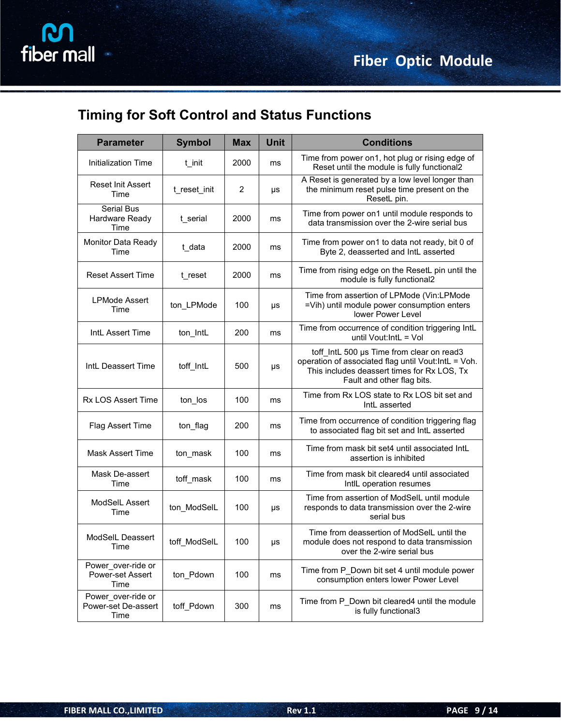## **Timing for Soft Control and Status Functions**

| <b>Parameter</b>                                  | <b>Symbol</b> | <b>Max</b> | <b>Unit</b> | <b>Conditions</b>                                                                                                                                                             |
|---------------------------------------------------|---------------|------------|-------------|-------------------------------------------------------------------------------------------------------------------------------------------------------------------------------|
| Initialization Time                               | t_init        | 2000       | ms          | Time from power on1, hot plug or rising edge of<br>Reset until the module is fully functional2                                                                                |
| Reset Init Assert<br>Time                         | t_reset_init  | 2          | μs          | A Reset is generated by a low level longer than<br>the minimum reset pulse time present on the<br>ResetL pin.                                                                 |
| <b>Serial Bus</b><br>Hardware Ready<br>Time       | t_serial      | 2000       | ms          | Time from power on1 until module responds to<br>data transmission over the 2-wire serial bus                                                                                  |
| Monitor Data Ready<br>Time                        | t_data        | 2000       | ms          | Time from power on1 to data not ready, bit 0 of<br>Byte 2, deasserted and IntL asserted                                                                                       |
| <b>Reset Assert Time</b>                          | t_reset       | 2000       | ms          | Time from rising edge on the ResetL pin until the<br>module is fully functional2                                                                                              |
| <b>LPMode Assert</b><br>Time                      | ton_LPMode    | 100        | μs          | Time from assertion of LPMode (Vin:LPMode<br>=Vih) until module power consumption enters<br>lower Power Level                                                                 |
| IntL Assert Time                                  | ton_IntL      | 200        | ms          | Time from occurrence of condition triggering IntL<br>until Vout: IntL = Vol                                                                                                   |
| IntL Deassert Time                                | toff_IntL     | 500        | μs          | toff IntL 500 µs Time from clear on read3<br>operation of associated flag until Vout:IntL = Voh.<br>This includes deassert times for Rx LOS, Tx<br>Fault and other flag bits. |
| <b>Rx LOS Assert Time</b>                         | ton_los       | 100        | ms          | Time from Rx LOS state to Rx LOS bit set and<br>IntL asserted                                                                                                                 |
| Flag Assert Time                                  | ton_flag      | 200        | ms          | Time from occurrence of condition triggering flag<br>to associated flag bit set and IntL asserted                                                                             |
| <b>Mask Assert Time</b>                           | ton_mask      | 100        | ms          | Time from mask bit set4 until associated IntL<br>assertion is inhibited                                                                                                       |
| Mask De-assert<br>Time                            | toff mask     | 100        | ms          | Time from mask bit cleared4 until associated<br>IntlL operation resumes                                                                                                       |
| ModSelL Assert<br>Time                            | ton ModSelL   | 100        | μs          | Time from assertion of ModSelL until module<br>responds to data transmission over the 2-wire<br>serial bus                                                                    |
| ModSelL Deassert<br>Time                          | toff ModSelL  | 100        | μs          | Time from deassertion of ModSelL until the<br>module does not respond to data transmission<br>over the 2-wire serial bus                                                      |
| Power over-ride or<br>Power-set Assert<br>Time    | ton Pdown     | 100        | ms          | Time from P Down bit set 4 until module power<br>consumption enters lower Power Level                                                                                         |
| Power_over-ride or<br>Power-set De-assert<br>Time | toff Pdown    | 300        | ms          | Time from P_Down bit cleared4 until the module<br>is fully functional3                                                                                                        |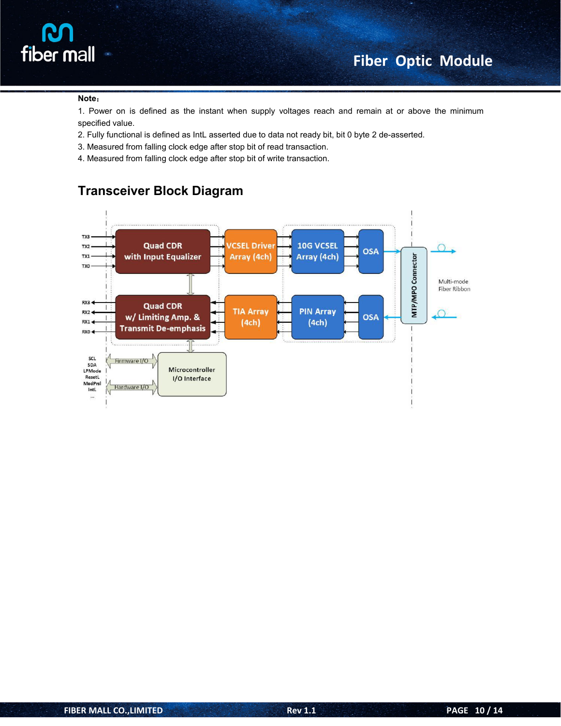

#### **Note**:

1. Power on is defined as the instant when supply voltages reach and remain at or above the minimum specified value.

- 2. Fully functional is defined as IntL asserted due to data not ready bit, bit 0 byte 2 de-asserted.
- 3. Measured from falling clock edge after stop bit of read transaction.
- 4. Measured from falling clock edge after stop bit of write transaction.



#### **Transceiver Block Diagram**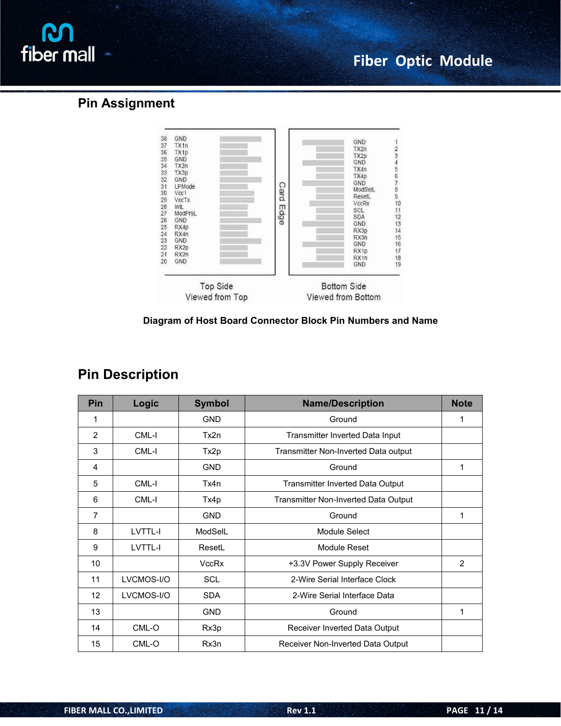

#### **Pin Assignment**



#### **Diagram of Host Board Connector Block Pin Numbers and Name**

### **Pin Description**

| Pin | Logic      | <b>Symbol</b> | <b>Name/Description</b>              | <b>Note</b>    |
|-----|------------|---------------|--------------------------------------|----------------|
| 1   |            | <b>GND</b>    | Ground                               |                |
| 2   | CML-I      | Tx2n          | Transmitter Inverted Data Input      |                |
| 3   | CML-I      | Tx2p          | Transmitter Non-Inverted Data output |                |
| 4   |            | <b>GND</b>    | Ground                               | 1              |
| 5   | CML-I      | Tx4n          | Transmitter Inverted Data Output     |                |
| 6   | CML-I      | Tx4p          | Transmitter Non-Inverted Data Output |                |
| 7   |            | <b>GND</b>    | Ground                               | $\mathbf{1}$   |
| 8   | LVTTL-I    | ModSelL       | Module Select                        |                |
| 9   | LVTTL-I    | ResetL        | Module Reset                         |                |
| 10  |            | VccRx         | +3.3V Power Supply Receiver          | $\overline{2}$ |
| 11  | LVCMOS-I/O | <b>SCL</b>    | 2-Wire Serial Interface Clock        |                |
| 12  | LVCMOS-I/O | <b>SDA</b>    | 2-Wire Serial Interface Data         |                |
| 13  |            | <b>GND</b>    | Ground                               | 1              |
| 14  | CML-O      | Rx3p          | Receiver Inverted Data Output        |                |
| 15  | CML-O      | Rx3n          | Receiver Non-Inverted Data Output    |                |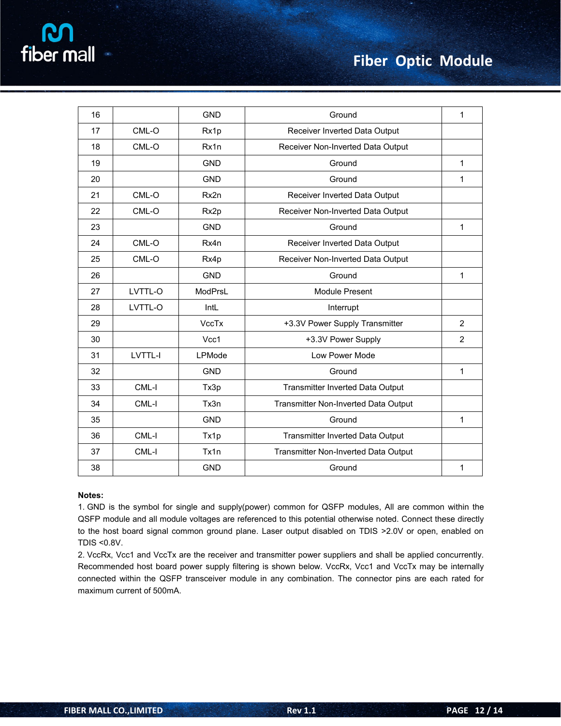|  | fiber mall |  |  |
|--|------------|--|--|
|  |            |  |  |
|  |            |  |  |
|  |            |  |  |
|  |            |  |  |
|  |            |  |  |
|  |            |  |  |

| 16 |         | <b>GND</b>   | Ground                               | 1              |
|----|---------|--------------|--------------------------------------|----------------|
| 17 | CML-O   | Rx1p         | Receiver Inverted Data Output        |                |
| 18 | CML-O   | Rx1n         | Receiver Non-Inverted Data Output    |                |
| 19 |         | <b>GND</b>   | Ground                               | $\mathbf{1}$   |
| 20 |         | <b>GND</b>   | Ground                               | $\mathbf 1$    |
| 21 | CML-O   | Rx2n         | Receiver Inverted Data Output        |                |
| 22 | CML-O   | Rx2p         | Receiver Non-Inverted Data Output    |                |
| 23 |         | <b>GND</b>   | Ground                               | $\mathbf 1$    |
| 24 | CML-O   | Rx4n         | Receiver Inverted Data Output        |                |
| 25 | CML-O   | Rx4p         | Receiver Non-Inverted Data Output    |                |
| 26 |         | <b>GND</b>   | Ground                               | $\mathbf{1}$   |
| 27 | LVTTL-O | ModPrsL      | Module Present                       |                |
| 28 | LVTTL-O | IntL         | Interrupt                            |                |
| 29 |         | <b>VccTx</b> | +3.3V Power Supply Transmitter       | $\overline{2}$ |
| 30 |         | Vcc1         | +3.3V Power Supply                   | $\overline{2}$ |
| 31 | LVTTL-I | LPMode       | Low Power Mode                       |                |
| 32 |         | <b>GND</b>   | Ground                               | $\mathbf{1}$   |
| 33 | CML-I   | Tx3p         | Transmitter Inverted Data Output     |                |
| 34 | CML-I   | Tx3n         | Transmitter Non-Inverted Data Output |                |
| 35 |         | <b>GND</b>   | Ground                               | $\mathbf{1}$   |
| 36 | CML-I   | Tx1p         | Transmitter Inverted Data Output     |                |
| 37 | CML-I   | Tx1n         | Transmitter Non-Inverted Data Output |                |
| 38 |         | <b>GND</b>   | Ground                               | 1              |

#### **Notes:**

1. GND is the symbol for single and supply(power) common for QSFP modules, All are common within the QSFP module and all module voltages are referenced to this potential otherwise noted. Connect these directly to the host board signal common ground plane. Laser output disabled on TDIS >2.0V or open, enabled on TDIS <0.8V.

2. VccRx, Vcc1 and VccTx are the receiver and transmitter power suppliers and shall be applied concurrently. Recommended host board power supply filtering is shown below. VccRx, Vcc1 and VccTx may be internally connected within the QSFP transceiver module in any combination. The connector pins are each rated for maximum current of 500mA.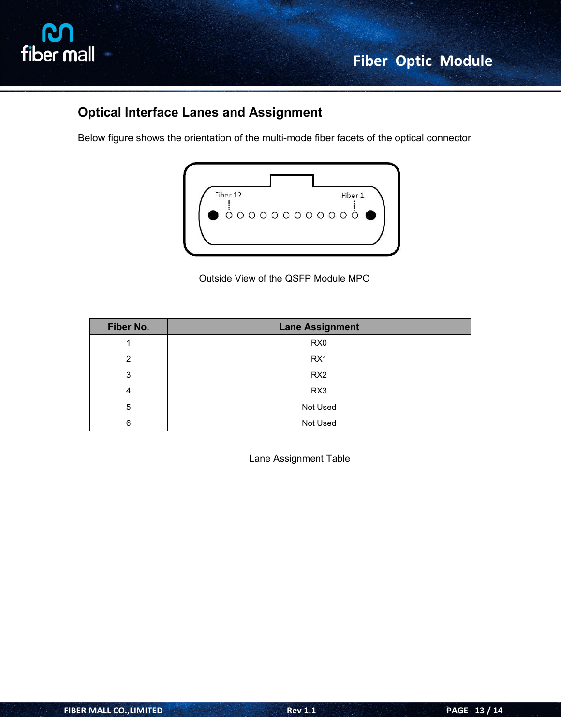

### **Optical Interface Lanes and Assignment**

Below figure shows the orientation of the multi-mode fiber facets of the optical connector



Outside View of the QSFP Module MPO

| Fiber No. | <b>Lane Assignment</b> |
|-----------|------------------------|
|           | R <sub>X0</sub>        |
| 2         | RX <sub>1</sub>        |
| 3         | RX <sub>2</sub>        |
|           | RX3                    |
| 5         | Not Used               |
| 6         | Not Used               |

Lane Assignment Table